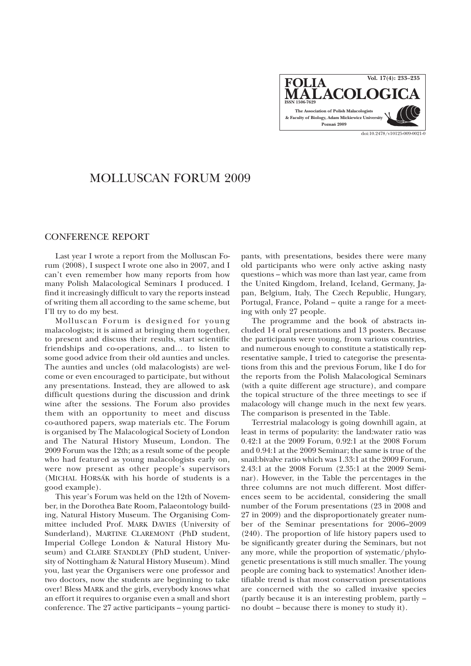**FOLIA**  $\widehat{\mathsf{ALACOLOG}}$ **The Association of Polish Malacologists & Faculty of Biology, Adam Mickiewicz University Poznañ 2009 Vol. 17(4): 233–235** doi:10.2478/v10125-009-0021-0

## MOLLUSCAN FORUM 2009

## CONFERENCE REPORT

Last year I wrote a report from the Molluscan Forum (2008), I suspect I wrote one also in 2007, and I can't even remember how many reports from how many Polish Malacological Seminars I produced. I find it increasingly difficult to vary the reports instead of writing them all according to the same scheme, but I'll try to do my best.

Molluscan Forum is designed for young malacologists; it is aimed at bringing them together, to present and discuss their results, start scientific friendships and co-operations, and… to listen to some good advice from their old aunties and uncles. The aunties and uncles (old malacologists) are welcome or even encouraged to participate, but without any presentations. Instead, they are allowed to ask difficult questions during the discussion and drink wine after the sessions. The Forum also provides them with an opportunity to meet and discuss co-authored papers, swap materials etc. The Forum is organised by The Malacological Society of London and The Natural History Museum, London. The 2009 Forum was the 12th; as a result some of the people who had featured as young malacologists early on, were now present as other people's supervisors (MICHAL HORSÁK with his horde of students is a good example).

This year's Forum was held on the 12th of November, in the Dorothea Bate Room, Palaeontology building, Natural History Museum. The Organising Committee included Prof. MARK DAVIES (University of Sunderland), MARTINE CLAREMONT (PhD student, Imperial College London & Natural History Museum) and CLAIRE STANDLEY (PhD student, University of Nottingham & Natural History Museum). Mind you, last year the Organisers were one professor and two doctors, now the students are beginning to take over! Bless MARK and the girls, everybody knows what an effort it requires to organise even a small and short conference. The 27 active participants – young partici-

pants, with presentations, besides there were many old participants who were only active asking nasty questions – which was more than last year, came from the United Kingdom, Ireland, Iceland, Germany, Japan, Belgium, Italy, The Czech Republic, Hungary, Portugal, France, Poland – quite a range for a meeting with only 27 people.

The programme and the book of abstracts included 14 oral presentations and 13 posters. Because the participants were young, from various countries, and numerous enough to constitute a statistically representative sample, I tried to categorise the presentations from this and the previous Forum, like I do for the reports from the Polish Malacological Seminars (with a quite different age structure), and compare the topical structure of the three meetings to see if malacology will change much in the next few years. The comparison is presented in the Table.

Terrestrial malacology is going downhill again, at least in terms of popularity: the land:water ratio was 0.42:1 at the 2009 Forum, 0.92:1 at the 2008 Forum and 0.94:1 at the 2009 Seminar; the same is true of the snail:bivalve ratio which was 1.33:1 at the 2009 Forum, 2.43:1 at the 2008 Forum (2.35:1 at the 2009 Seminar). However, in the Table the percentages in the three columns are not much different. Most differences seem to be accidental, considering the small number of the Forum presentations (23 in 2008 and 27 in 2009) and the disproportionately greater number of the Seminar presentations for 2006–2009 (240). The proportion of life history papers used to be significantly greater during the Seminars, but not any more, while the proportion of systematic/phylogenetic presentations is still much smaller. The young people are coming back to systematics! Another identifiable trend is that most conservation presentations are concerned with the so called invasive species (partly because it is an interesting problem, partly – no doubt – because there is money to study it).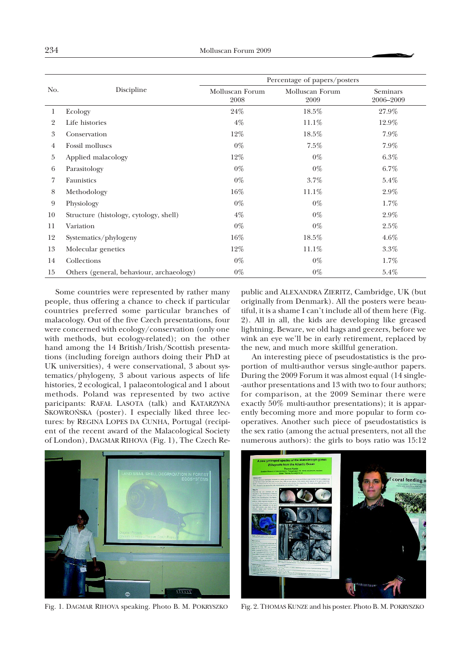| No.            | Discipline                               | Percentage of papers/posters |                         |                       |
|----------------|------------------------------------------|------------------------------|-------------------------|-----------------------|
|                |                                          | Molluscan Forum<br>2008      | Molluscan Forum<br>2009 | Seminars<br>2006-2009 |
| 1              | Ecology                                  | 24%                          | 18.5%                   | 27.9%                 |
| $\overline{2}$ | Life histories                           | $4\%$                        | 11.1%                   | 12.9%                 |
| 3              | Conservation                             | 12%                          | 18.5%                   | $7.9\%$               |
| 4              | Fossil molluscs                          | $0\%$                        | 7.5%                    | 7.9%                  |
| 5              | Applied malacology                       | 12%                          | $0\%$                   | $6.3\%$               |
| 6              | Parasitology                             | $0\%$                        | $0\%$                   | $6.7\%$               |
| 7              | Faunistics                               | $0\%$                        | $3.7\%$                 | $5.4\%$               |
| 8              | Methodology                              | 16%                          | $11.1\%$                | $2.9\%$               |
| 9              | Physiology                               | $0\%$                        | $0\%$                   | 1.7%                  |
| 10             | Structure (histology, cytology, shell)   | $4\%$                        | $0\%$                   | $2.9\%$               |
| 11             | Variation                                | $0\%$                        | $0\%$                   | $2.5\%$               |
| 12             | Systematics/phylogeny                    | 16%                          | 18.5%                   | $4.6\%$               |
| 13             | Molecular genetics                       | 12%                          | $11.1\%$                | $3.3\%$               |
| 14             | Collections                              | $0\%$                        | $0\%$                   | $1.7\%$               |
| 15             | Others (general, behaviour, archaeology) | $0\%$                        | $0\%$                   | 5.4%                  |

Some countries were represented by rather many people, thus offering a chance to check if particular countries preferred some particular branches of malacology. Out of the five Czech presentations, four were concerned with ecology/conservation (only one with methods, but ecology-related); on the other hand among the 14 British/Irish/Scottish presentations (including foreign authors doing their PhD at UK universities), 4 were conservational, 3 about systematics/phylogeny, 3 about various aspects of life histories, 2 ecological, 1 palaeontological and 1 about methods. Poland was represented by two active paricipants: RAFA£ LASOTA (talk) and KATARZYNA SKOWROÑSKA (poster). I especially liked three lectures: by REGINA LOPES DA CUNHA, Portugal (recipient of the recent award of the Malacological Society of London), DAGMAR RIHOVA (Fig. 1), The Czech Re-

public and ALEXANDRA ZIERITZ, Cambridge, UK (but originally from Denmark). All the posters were beautiful, it is a shame I can't include all of them here (Fig. 2). All in all, the kids are developing like greased lightning. Beware, we old hags and geezers, before we wink an eye we'll be in early retirement, replaced by the new, and much more skillful generation.

An interesting piece of pseudostatistics is the proportion of multi-author versus single-author papers. During the 2009 Forum it was almost equal (14 single- -author presentations and 13 with two to four authors; for comparison, at the 2009 Seminar there were exactly 50% multi-author presentations); it is apparently becoming more and more popular to form cooperatives. Another such piece of pseudostatistics is the sex ratio (among the actual presenters, not all the numerous authors): the girls to boys ratio was 15:12



Fig. 1. DAGMAR RIHOVA speaking. Photo B. M. POKRYSZKO Fig. 2. THOMAS KUNZE and his poster. Photo B. M. POKRYSZKO